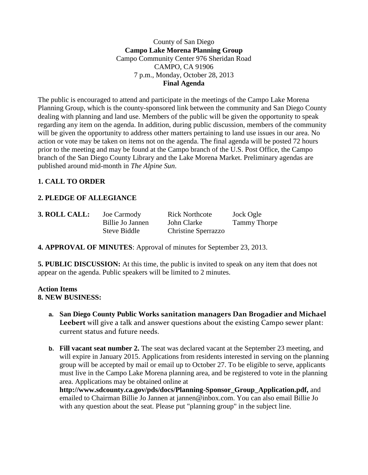#### County of San Diego **Campo Lake Morena Planning Group** Campo Community Center 976 Sheridan Road CAMPO, CA 91906 7 p.m., Monday, October 28, 2013 **Final Agenda**

The public is encouraged to attend and participate in the meetings of the Campo Lake Morena Planning Group, which is the county-sponsored link between the community and San Diego County dealing with planning and land use. Members of the public will be given the opportunity to speak regarding any item on the agenda. In addition, during public discussion, members of the community will be given the opportunity to address other matters pertaining to land use issues in our area. No action or vote may be taken on items not on the agenda. The final agenda will be posted 72 hours prior to the meeting and may be found at the Campo branch of the U.S. Post Office, the Campo branch of the San Diego County Library and the Lake Morena Market. Preliminary agendas are published around mid-month in *The Alpine Sun*.

## **1. CALL TO ORDER**

# **2. PLEDGE OF ALLEGIANCE**

| 3. ROLL CALL: | Joe Carmody      | <b>Rick Northcote</b>      | Jock Ogle           |
|---------------|------------------|----------------------------|---------------------|
|               | Billie Jo Jannen | John Clarke                | <b>Tammy Thorpe</b> |
|               | Steve Biddle     | <b>Christine Sperrazzo</b> |                     |

## **4. APPROVAL OF MINUTES**: Approval of minutes for September 23, 2013.

**5. PUBLIC DISCUSSION:** At this time, the public is invited to speak on any item that does not appear on the agenda. Public speakers will be limited to 2 minutes.

#### **Action Items 8. NEW BUSINESS:**

- **a. San Diego County Public Works sanitation managers Dan Brogadier and Michael Leebert** will give a talk and answer questions about the existing Campo sewer plant: current status and future needs.
- **b. Fill vacant seat number 2.** The seat was declared vacant at the September 23 meeting, and will expire in January 2015. Applications from residents interested in serving on the planning group will be accepted by mail or email up to October 27. To be eligible to serve, applicants must live in the Campo Lake Morena planning area, and be registered to vote in the planning area. Applications may be obtained online at

**http://www.sdcounty.ca.gov/pds/docs/Planning-Sponsor\_Group\_Application.pdf,** and emailed to Chairman Billie Jo Jannen at jannen@inbox.com. You can also email Billie Jo with any question about the seat. Please put "planning group" in the subject line.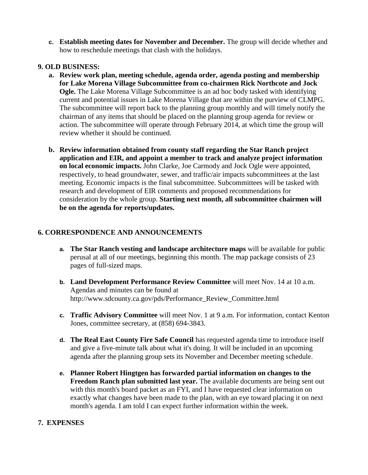**c. Establish meeting dates for November and December.** The group will decide whether and how to reschedule meetings that clash with the holidays.

#### **9. OLD BUSINESS:**

- **a. Review work plan, meeting schedule, agenda order, agenda posting and membership for Lake Morena Village Subcommittee from co-chairmen Rick Northcote and Jock Ogle.** The Lake Morena Village Subcommittee is an ad hoc body tasked with identifying current and potential issues in Lake Morena Village that are within the purview of CLMPG. The subcommittee will report back to the planning group monthly and will timely notify the chairman of any items that should be placed on the planning group agenda for review or action. The subcommittee will operate through February 2014, at which time the group will review whether it should be continued.
- **b. Review information obtained from county staff regarding the Star Ranch project application and EIR, and appoint a member to track and analyze project information on local economic impacts.** John Clarke, Joe Carmody and Jock Ogle were appointed, respectively, to head groundwater, sewer, and traffic/air impacts subcommittees at the last meeting. Economic impacts is the final subcommittee. Subcommittees will be tasked with research and development of EIR comments and proposed recommendations for consideration by the whole group. **Starting next month, all subcommittee chairmen will be on the agenda for reports/updates.**

## **6. CORRESPONDENCE AND ANNOUNCEMENTS**

- **a. The Star Ranch vesting and landscape architecture maps** will be available for public perusal at all of our meetings, beginning this month. The map package consists of 23 pages of full-sized maps.
- **b. Land Development Performance Review Committee** will meet Nov. 14 at 10 a.m. Agendas and minutes can be found at http://www.sdcounty.ca.gov/pds/Performance\_Review\_Committee.html
- **c. Traffic Advisory Committee** will meet Nov. 1 at 9 a.m. For information, contact Kenton Jones, committee secretary, at (858) 694-3843.
- **d. The Real East County Fire Safe Council** has requested agenda time to introduce itself and give a five-minute talk about what it's doing. It will be included in an upcoming agenda after the planning group sets its November and December meeting schedule.
- **e. Planner Robert Hingtgen has forwarded partial information on changes to the Freedom Ranch plan submitted last year.** The available documents are being sent out with this month's board packet as an FYI, and I have requested clear information on exactly what changes have been made to the plan, with an eye toward placing it on next month's agenda. I am told I can expect further information within the week.

## **7. EXPENSES**